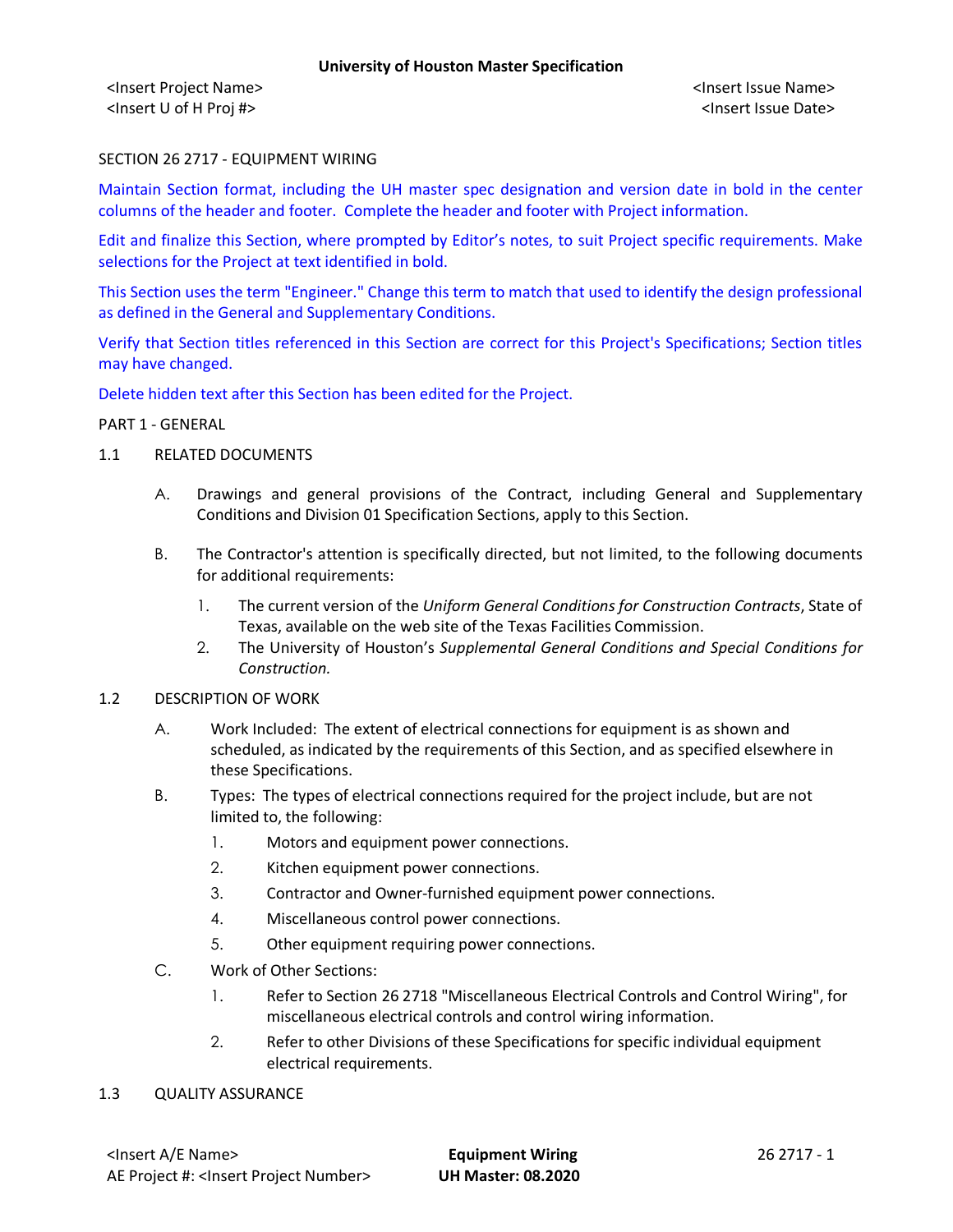<Insert Project Name> <Insert Issue Name> <Insert U of H Proj #> <Insert Issue Date>

### SECTION 26 2717 - EQUIPMENT WIRING

Maintain Section format, including the UH master spec designation and version date in bold in the center columns of the header and footer. Complete the header and footer with Project information.

Edit and finalize this Section, where prompted by Editor's notes, to suit Project specific requirements. Make selections for the Project at text identified in bold.

This Section uses the term "Engineer." Change this term to match that used to identify the design professional as defined in the General and Supplementary Conditions.

Verify that Section titles referenced in this Section are correct for this Project's Specifications; Section titles may have changed.

Delete hidden text after this Section has been edited for the Project.

#### PART 1 - GENERAL

- 1.1 RELATED DOCUMENTS
	- A. Drawings and general provisions of the Contract, including General and Supplementary Conditions and Division 01 Specification Sections, apply to this Section.
	- B. The Contractor's attention is specifically directed, but not limited, to the following documents for additional requirements:
		- 1. The current version of the *Uniform General Conditions for Construction Contracts*, State of Texas, available on the web site of the Texas Facilities Commission.
		- 2. The University of Houston's *Supplemental General Conditions and Special Conditions for Construction.*
- 1.2 DESCRIPTION OF WORK
	- A. Work Included: The extent of electrical connections for equipment is as shown and scheduled, as indicated by the requirements of this Section, and as specified elsewhere in these Specifications.
	- B. Types: The types of electrical connections required for the project include, but are not limited to, the following:
		- 1. Motors and equipment power connections.
		- 2. Kitchen equipment power connections.
		- 3. Contractor and Owner-furnished equipment power connections.
		- 4. Miscellaneous control power connections.
		- 5. Other equipment requiring power connections.
	- C. Work of Other Sections:
		- 1. Refer to Section 26 2718 "Miscellaneous Electrical Controls and Control Wiring", for miscellaneous electrical controls and control wiring information.
		- 2. Refer to other Divisions of these Specifications for specific individual equipment electrical requirements.
- 1.3 QUALITY ASSURANCE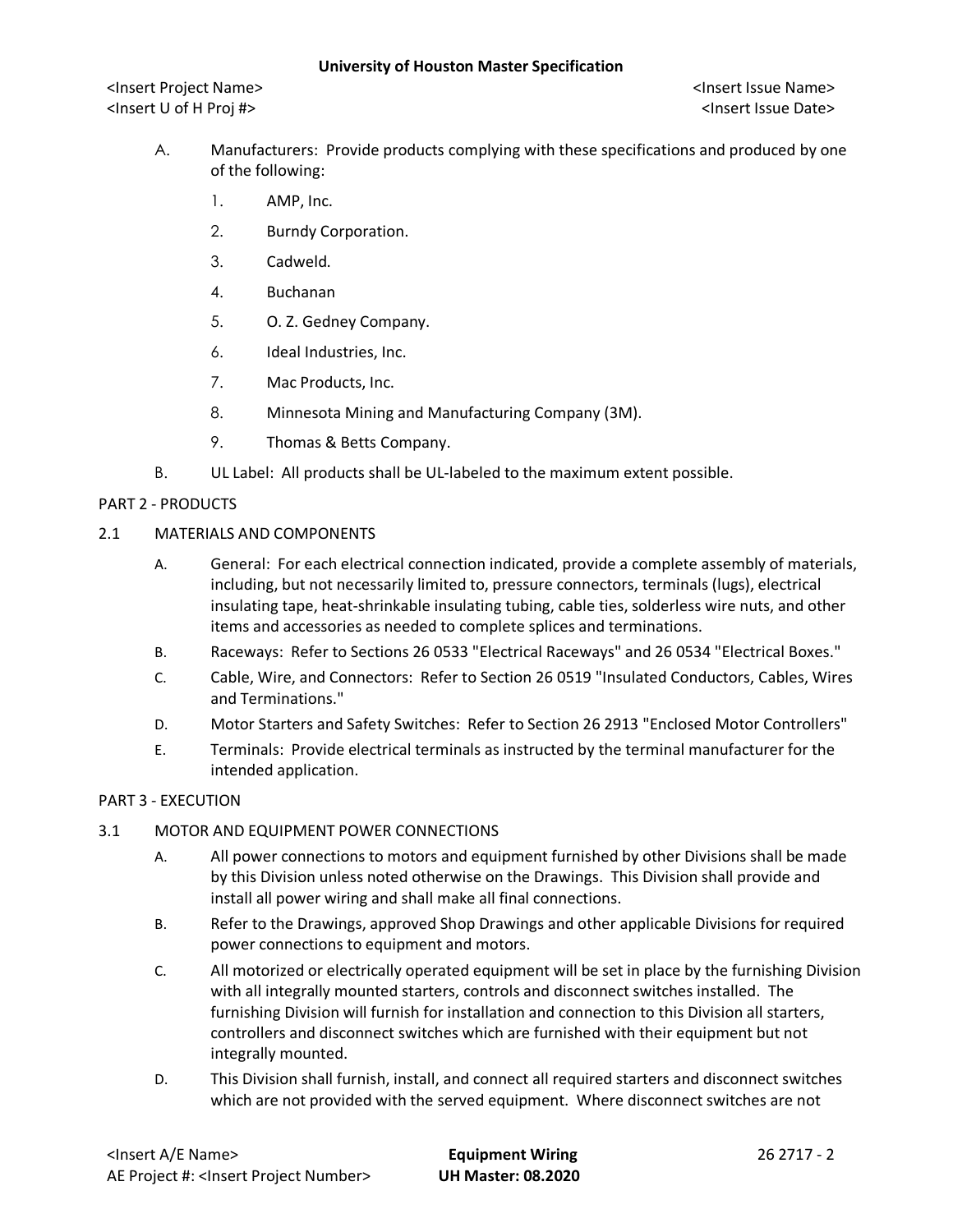<Insert Project Name> <Insert Issue Name> <Insert U of H Proj #> <Insert Issue Date>

- A. Manufacturers: Provide products complying with these specifications and produced by one of the following:
	- 1. AMP, Inc.
	- 2. Burndy Corporation.
	- 3. Cadweld.
	- 4. Buchanan
	- 5. O. Z. Gedney Company.
	- 6. Ideal Industries, Inc.
	- 7. Mac Products, Inc.
	- 8. Minnesota Mining and Manufacturing Company (3M).
	- 9. Thomas & Betts Company.
- B. UL Label: All products shall be UL-labeled to the maximum extent possible.

# PART 2 - PRODUCTS

### 2.1 MATERIALS AND COMPONENTS

- A. General: For each electrical connection indicated, provide a complete assembly of materials, including, but not necessarily limited to, pressure connectors, terminals (lugs), electrical insulating tape, heat-shrinkable insulating tubing, cable ties, solderless wire nuts, and other items and accessories as needed to complete splices and terminations.
- B. Raceways: Refer to Sections 26 0533 "Electrical Raceways" and 26 0534 "Electrical Boxes."
- C. Cable, Wire, and Connectors: Refer to Section 26 0519 "Insulated Conductors, Cables, Wires and Terminations."
- D. Motor Starters and Safety Switches: Refer to Section 26 2913 "Enclosed Motor Controllers"
- E. Terminals: Provide electrical terminals as instructed by the terminal manufacturer for the intended application.

# PART 3 - EXECUTION

# 3.1 MOTOR AND EQUIPMENT POWER CONNECTIONS

- A. All power connections to motors and equipment furnished by other Divisions shall be made by this Division unless noted otherwise on the Drawings. This Division shall provide and install all power wiring and shall make all final connections.
- B. Refer to the Drawings, approved Shop Drawings and other applicable Divisions for required power connections to equipment and motors.
- C. All motorized or electrically operated equipment will be set in place by the furnishing Division with all integrally mounted starters, controls and disconnect switches installed. The furnishing Division will furnish for installation and connection to this Division all starters, controllers and disconnect switches which are furnished with their equipment but not integrally mounted.
- D. This Division shall furnish, install, and connect all required starters and disconnect switches which are not provided with the served equipment. Where disconnect switches are not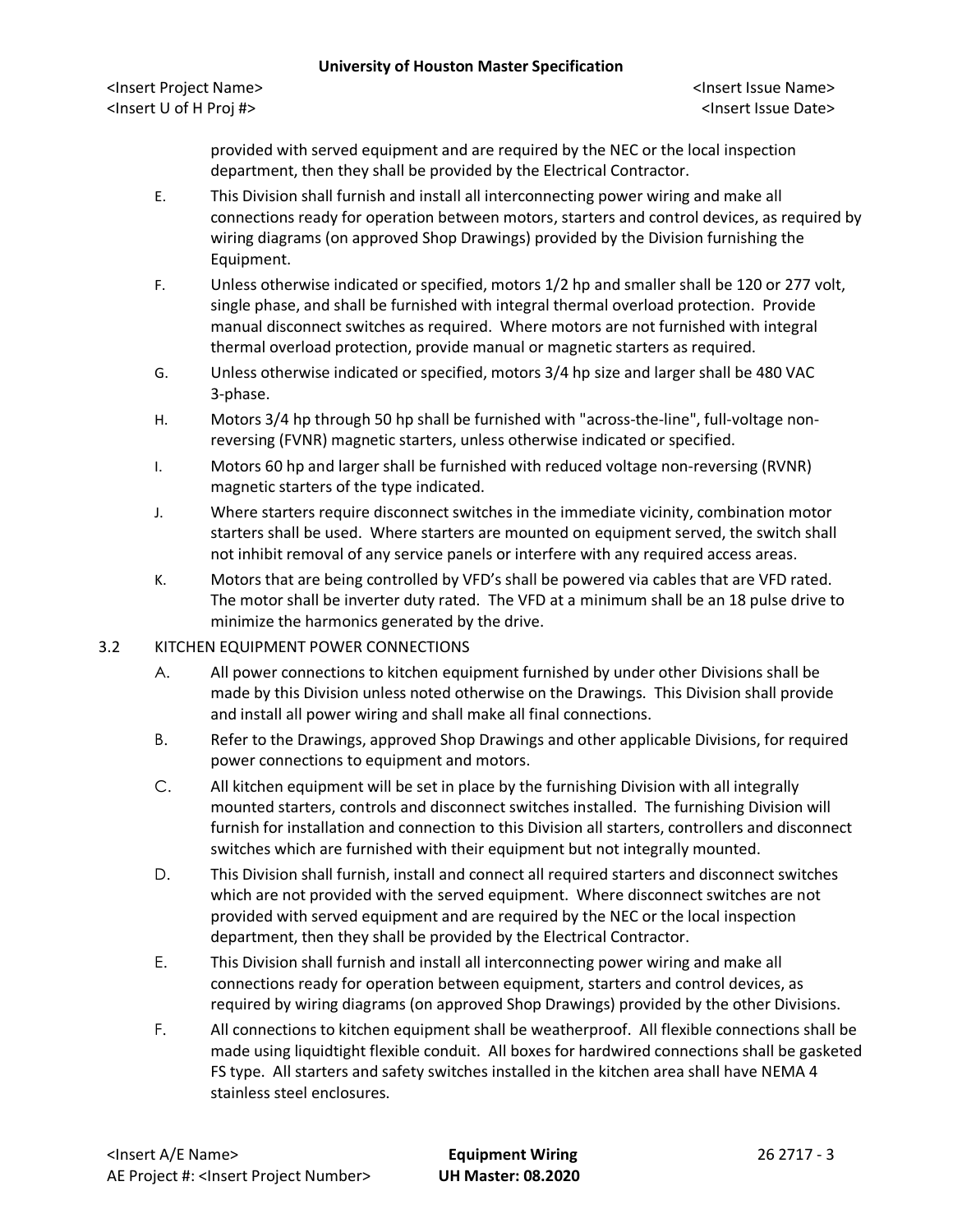provided with served equipment and are required by the NEC or the local inspection department, then they shall be provided by the Electrical Contractor.

- E. This Division shall furnish and install all interconnecting power wiring and make all connections ready for operation between motors, starters and control devices, as required by wiring diagrams (on approved Shop Drawings) provided by the Division furnishing the Equipment.
- F. Unless otherwise indicated or specified, motors 1/2 hp and smaller shall be 120 or 277 volt, single phase, and shall be furnished with integral thermal overload protection. Provide manual disconnect switches as required. Where motors are not furnished with integral thermal overload protection, provide manual or magnetic starters as required.
- G. Unless otherwise indicated or specified, motors 3/4 hp size and larger shall be 480 VAC 3-phase.
- H. Motors 3/4 hp through 50 hp shall be furnished with "across-the-line", full-voltage nonreversing (FVNR) magnetic starters, unless otherwise indicated or specified.
- I. Motors 60 hp and larger shall be furnished with reduced voltage non-reversing (RVNR) magnetic starters of the type indicated.
- J. Where starters require disconnect switches in the immediate vicinity, combination motor starters shall be used. Where starters are mounted on equipment served, the switch shall not inhibit removal of any service panels or interfere with any required access areas.
- K. Motors that are being controlled by VFD's shall be powered via cables that are VFD rated. The motor shall be inverter duty rated. The VFD at a minimum shall be an 18 pulse drive to minimize the harmonics generated by the drive.

# 3.2 KITCHEN EQUIPMENT POWER CONNECTIONS

- A. All power connections to kitchen equipment furnished by under other Divisions shall be made by this Division unless noted otherwise on the Drawings. This Division shall provide and install all power wiring and shall make all final connections.
- B. Refer to the Drawings, approved Shop Drawings and other applicable Divisions, for required power connections to equipment and motors.
- C. All kitchen equipment will be set in place by the furnishing Division with all integrally mounted starters, controls and disconnect switches installed. The furnishing Division will furnish for installation and connection to this Division all starters, controllers and disconnect switches which are furnished with their equipment but not integrally mounted.
- D. This Division shall furnish, install and connect all required starters and disconnect switches which are not provided with the served equipment. Where disconnect switches are not provided with served equipment and are required by the NEC or the local inspection department, then they shall be provided by the Electrical Contractor.
- E. This Division shall furnish and install all interconnecting power wiring and make all connections ready for operation between equipment, starters and control devices, as required by wiring diagrams (on approved Shop Drawings) provided by the other Divisions.
- F. All connections to kitchen equipment shall be weatherproof. All flexible connections shall be made using liquidtight flexible conduit. All boxes for hardwired connections shall be gasketed FS type. All starters and safety switches installed in the kitchen area shall have NEMA 4 stainless steel enclosures.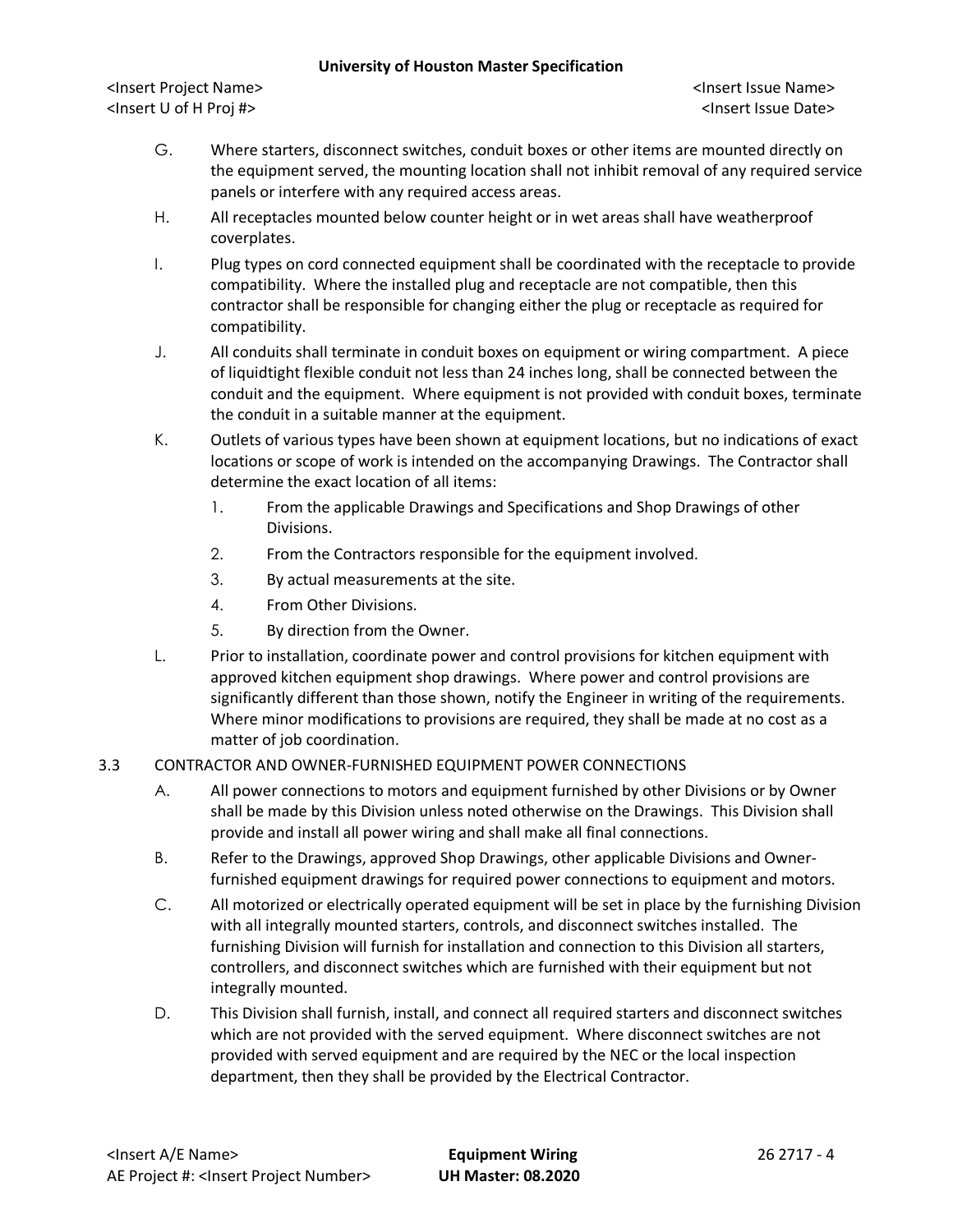#### **University of Houston Master Specification**

<Insert Project Name> <Insert Issue Name> <Insert U of H Proj #> <Insert Issue Date>

- G. Where starters, disconnect switches, conduit boxes or other items are mounted directly on the equipment served, the mounting location shall not inhibit removal of any required service panels or interfere with any required access areas.
- H. All receptacles mounted below counter height or in wet areas shall have weatherproof coverplates.
- I. Plug types on cord connected equipment shall be coordinated with the receptacle to provide compatibility. Where the installed plug and receptacle are not compatible, then this contractor shall be responsible for changing either the plug or receptacle as required for compatibility.
- J. All conduits shall terminate in conduit boxes on equipment or wiring compartment. A piece of liquidtight flexible conduit not less than 24 inches long, shall be connected between the conduit and the equipment. Where equipment is not provided with conduit boxes, terminate the conduit in a suitable manner at the equipment.
- K. Outlets of various types have been shown at equipment locations, but no indications of exact locations or scope of work is intended on the accompanying Drawings. The Contractor shall determine the exact location of all items:
	- 1. From the applicable Drawings and Specifications and Shop Drawings of other Divisions.
	- 2. From the Contractors responsible for the equipment involved.
	- 3. By actual measurements at the site.
	- 4. From Other Divisions.
	- 5. By direction from the Owner.
- L. Prior to installation, coordinate power and control provisions for kitchen equipment with approved kitchen equipment shop drawings. Where power and control provisions are significantly different than those shown, notify the Engineer in writing of the requirements. Where minor modifications to provisions are required, they shall be made at no cost as a matter of job coordination.

# 3.3 CONTRACTOR AND OWNER-FURNISHED EQUIPMENT POWER CONNECTIONS

- A. All power connections to motors and equipment furnished by other Divisions or by Owner shall be made by this Division unless noted otherwise on the Drawings. This Division shall provide and install all power wiring and shall make all final connections.
- B. Refer to the Drawings, approved Shop Drawings, other applicable Divisions and Ownerfurnished equipment drawings for required power connections to equipment and motors.
- C. All motorized or electrically operated equipment will be set in place by the furnishing Division with all integrally mounted starters, controls, and disconnect switches installed. The furnishing Division will furnish for installation and connection to this Division all starters, controllers, and disconnect switches which are furnished with their equipment but not integrally mounted.
- D. This Division shall furnish, install, and connect all required starters and disconnect switches which are not provided with the served equipment. Where disconnect switches are not provided with served equipment and are required by the NEC or the local inspection department, then they shall be provided by the Electrical Contractor.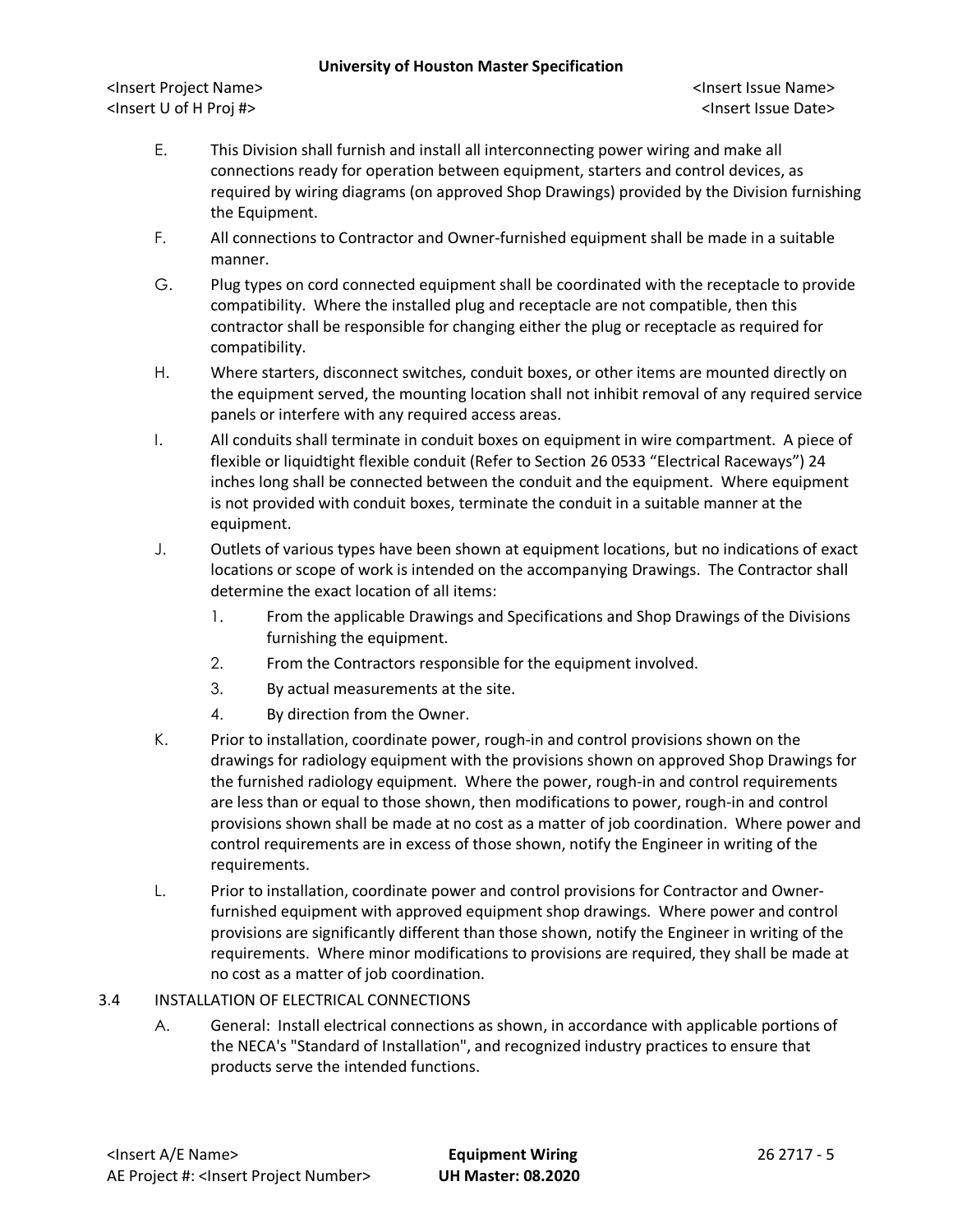### **University of Houston Master Specification**

<Insert Project Name> <Insert Issue Name> <Insert U of H Proj #> <Insert Issue Date>

- E. This Division shall furnish and install all interconnecting power wiring and make all connections ready for operation between equipment, starters and control devices, as required by wiring diagrams (on approved Shop Drawings) provided by the Division furnishing the Equipment.
- F. All connections to Contractor and Owner-furnished equipment shall be made in a suitable manner.
- G. Plug types on cord connected equipment shall be coordinated with the receptacle to provide compatibility. Where the installed plug and receptacle are not compatible, then this contractor shall be responsible for changing either the plug or receptacle as required for compatibility.
- H. Where starters, disconnect switches, conduit boxes, or other items are mounted directly on the equipment served, the mounting location shall not inhibit removal of any required service panels or interfere with any required access areas.
- I. All conduits shall terminate in conduit boxes on equipment in wire compartment. A piece of flexible or liquidtight flexible conduit (Refer to Section 26 0533 "Electrical Raceways") 24 inches long shall be connected between the conduit and the equipment. Where equipment is not provided with conduit boxes, terminate the conduit in a suitable manner at the equipment.
- J. Outlets of various types have been shown at equipment locations, but no indications of exact locations or scope of work is intended on the accompanying Drawings. The Contractor shall determine the exact location of all items:
	- 1. From the applicable Drawings and Specifications and Shop Drawings of the Divisions furnishing the equipment.
	- 2. From the Contractors responsible for the equipment involved.
	- 3. By actual measurements at the site.
	- 4. By direction from the Owner.
- K. Prior to installation, coordinate power, rough-in and control provisions shown on the drawings for radiology equipment with the provisions shown on approved Shop Drawings for the furnished radiology equipment. Where the power, rough-in and control requirements are less than or equal to those shown, then modifications to power, rough-in and control provisions shown shall be made at no cost as a matter of job coordination. Where power and control requirements are in excess of those shown, notify the Engineer in writing of the requirements.
- L. Prior to installation, coordinate power and control provisions for Contractor and Ownerfurnished equipment with approved equipment shop drawings. Where power and control provisions are significantly different than those shown, notify the Engineer in writing of the requirements. Where minor modifications to provisions are required, they shall be made at no cost as a matter of job coordination.
- 3.4 INSTALLATION OF ELECTRICAL CONNECTIONS
	- A. General: Install electrical connections as shown, in accordance with applicable portions of the NECA's "Standard of Installation", and recognized industry practices to ensure that products serve the intended functions.